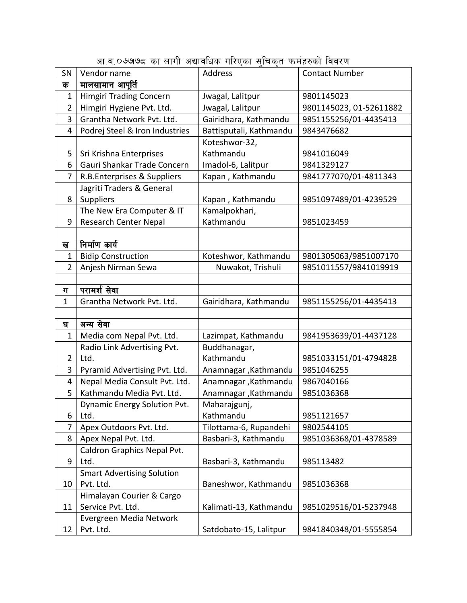| SN             | Vendor name                       | Address                 | <b>Contact Number</b>   |
|----------------|-----------------------------------|-------------------------|-------------------------|
| क              | मालसामान आपूर्ति                  |                         |                         |
| $\mathbf{1}$   | <b>Himgiri Trading Concern</b>    | Jwagal, Lalitpur        | 9801145023              |
| 2              | Himgiri Hygiene Pvt. Ltd.         | Jwagal, Lalitpur        | 9801145023, 01-52611882 |
| 3              | Grantha Network Pvt. Ltd.         | Gairidhara, Kathmandu   | 9851155256/01-4435413   |
| 4              | Podrej Steel & Iron Industries    | Battisputali, Kathmandu | 9843476682              |
|                |                                   | Koteshwor-32,           |                         |
| 5              | Sri Krishna Enterprises           | Kathmandu               | 9841016049              |
| 6              | Gauri Shankar Trade Concern       | Imadol-6, Lalitpur      | 9841329127              |
| 7              | R.B.Enterprises & Suppliers       | Kapan, Kathmandu        | 9841777070/01-4811343   |
|                | Jagriti Traders & General         |                         |                         |
| 8              | Suppliers                         | Kapan, Kathmandu        | 9851097489/01-4239529   |
|                | The New Era Computer & IT         | Kamalpokhari,           |                         |
| 9              | <b>Research Center Nepal</b>      | Kathmandu               | 9851023459              |
|                |                                   |                         |                         |
| ख              | निर्माण कार्य                     |                         |                         |
| $\mathbf{1}$   | <b>Bidip Construction</b>         | Koteshwor, Kathmandu    | 9801305063/9851007170   |
| $\overline{2}$ | Anjesh Nirman Sewa                | Nuwakot, Trishuli       | 9851011557/9841019919   |
|                |                                   |                         |                         |
| ग              | परामर्श सेवा                      |                         |                         |
| $\mathbf 1$    | Grantha Network Pvt. Ltd.         | Gairidhara, Kathmandu   | 9851155256/01-4435413   |
|                |                                   |                         |                         |
| घ              | अन्य सेवा                         |                         |                         |
| $\overline{1}$ | Media com Nepal Pvt. Ltd.         | Lazimpat, Kathmandu     | 9841953639/01-4437128   |
|                | Radio Link Advertising Pvt.       | Buddhanagar,            |                         |
| $\overline{2}$ | Ltd.                              | Kathmandu               | 9851033151/01-4794828   |
| 3              | Pyramid Advertising Pvt. Ltd.     | Anamnagar , Kathmandu   | 9851046255              |
| 4              | Nepal Media Consult Pvt. Ltd.     | Anamnagar , Kathmandu   | 9867040166              |
| 5              | Kathmandu Media Pvt. Ltd.         | Anamnagar , Kathmandu   | 9851036368              |
|                | Dynamic Energy Solution Pvt.      | Maharajgunj,            |                         |
| 6              | Ltd.                              | Kathmandu               | 9851121657              |
| 7              | Apex Outdoors Pvt. Ltd.           | Tilottama-6, Rupandehi  | 9802544105              |
| 8              | Apex Nepal Pvt. Ltd.              | Basbari-3, Kathmandu    | 9851036368/01-4378589   |
|                | Caldron Graphics Nepal Pvt.       |                         |                         |
| 9              | Ltd.                              | Basbari-3, Kathmandu    | 985113482               |
|                | <b>Smart Advertising Solution</b> |                         |                         |
| 10             | Pvt. Ltd.                         | Baneshwor, Kathmandu    | 9851036368              |
|                | Himalayan Courier & Cargo         |                         |                         |
| 11             | Service Pvt. Ltd.                 | Kalimati-13, Kathmandu  | 9851029516/01-5237948   |
|                | Evergreen Media Network           |                         |                         |
| 12             | Pvt. Ltd.                         | Satdobato-15, Lalitpur  | 9841840348/01-5555854   |

आ.ब.०७७७८ का लागी अद्यावधिक गरिएका सुचिकृत फर्महरुको विवरण